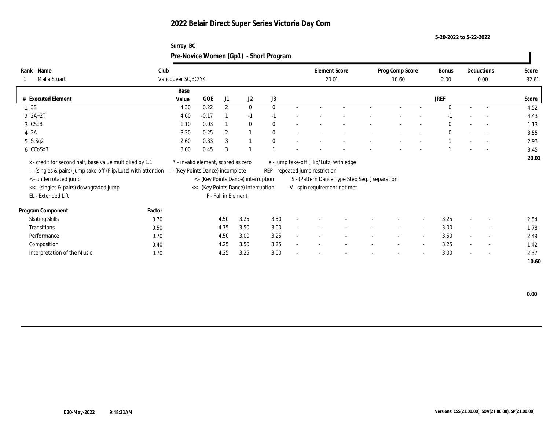**Surrey, BC**

**5-20-2022 to 5-22-2022**

|                                                                                                                            |        | Pre-Novice Women (Gp1) - Short Program                                 |            |                     |                                      |      |  |                                 |                                               |  |                          |                          |                      |        |                    |                |
|----------------------------------------------------------------------------------------------------------------------------|--------|------------------------------------------------------------------------|------------|---------------------|--------------------------------------|------|--|---------------------------------|-----------------------------------------------|--|--------------------------|--------------------------|----------------------|--------|--------------------|----------------|
| Rank Name<br>Malia Stuart                                                                                                  | Club   | Vancouver SC, BC/YK                                                    |            |                     |                                      |      |  |                                 | <b>Element Score</b><br>20.01                 |  | Prog Comp Score<br>10.60 |                          | <b>Bonus</b><br>2.00 |        | Deductions<br>0.00 | Score<br>32.61 |
|                                                                                                                            |        | Base                                                                   |            |                     |                                      |      |  |                                 |                                               |  |                          |                          |                      |        |                    |                |
| # Executed Element                                                                                                         |        | Value                                                                  | <b>GOE</b> | J1                  | J2                                   | J3   |  |                                 |                                               |  |                          |                          | <b>JREF</b>          |        |                    | Score          |
| 1 3S                                                                                                                       |        | 4.30                                                                   | 0.22       | $\overline{2}$      | $\bf{0}$                             |      |  |                                 |                                               |  |                          |                          | $\Omega$             | $\sim$ |                    | 4.52           |
| $2 A+2T$                                                                                                                   |        | 4.60                                                                   | $-0.17$    |                     | $-1$                                 |      |  |                                 |                                               |  |                          |                          |                      |        |                    | 4.43           |
| 3 CSpB                                                                                                                     |        | 1.10                                                                   | 0.03       |                     | $\mathbf{0}$                         |      |  |                                 |                                               |  |                          |                          |                      |        | $\sim$             | 1.13           |
| 4 2A                                                                                                                       |        | 3.30                                                                   | 0.25       | $\overline{2}$      |                                      |      |  |                                 |                                               |  |                          |                          |                      |        |                    | 3.55           |
| 5 StSq2                                                                                                                    |        | 2.60                                                                   | 0.33       | 3                   |                                      |      |  |                                 |                                               |  |                          |                          |                      |        |                    | 2.93           |
| 6 CCoSp3                                                                                                                   |        | 3.00                                                                   | 0.45       | 3                   |                                      |      |  |                                 |                                               |  |                          |                          |                      |        |                    | 3.45           |
| x - credit for second half, base value multiplied by 1.1<br>! - (singles & pairs) jump take-off (Flip/Lutz) with attention |        | * - invalid element, scored as zero<br>- (Key Points Dance) incomplete |            |                     |                                      |      |  | REP - repeated jump restriction | e - jump take-off (Flip/Lutz) with edge       |  |                          |                          |                      |        |                    | 20.01          |
| < - underrotated jump                                                                                                      |        |                                                                        |            |                     | < - (Key Points Dance) interruption  |      |  |                                 | S - (Pattern Dance Type Step Seq.) separation |  |                          |                          |                      |        |                    |                |
| << - (singles & pairs) downgraded jump                                                                                     |        |                                                                        |            |                     | << - (Key Points Dance) interruption |      |  |                                 | V - spin requirement not met                  |  |                          |                          |                      |        |                    |                |
| EL - Extended Lift                                                                                                         |        |                                                                        |            | F - Fall in Element |                                      |      |  |                                 |                                               |  |                          |                          |                      |        |                    |                |
| Program Component                                                                                                          | Factor |                                                                        |            |                     |                                      |      |  |                                 |                                               |  |                          |                          |                      |        |                    |                |
| <b>Skating Skills</b>                                                                                                      | 0.70   |                                                                        |            | 4.50                | 3.25                                 | 3.50 |  |                                 |                                               |  |                          |                          | 3.25                 |        |                    | 2.54           |
| Transitions                                                                                                                | 0.50   |                                                                        |            | 4.75                | 3.50                                 | 3.00 |  |                                 |                                               |  |                          | $\overline{\phantom{a}}$ | 3.00                 | $\sim$ |                    | 1.78           |
| Performance                                                                                                                | 0.70   |                                                                        |            | 4.50                | 3.00                                 | 3.25 |  |                                 |                                               |  |                          | $\overline{\phantom{a}}$ | 3.50                 |        | $\sim$             | 2.49           |
| Composition                                                                                                                | 0.40   |                                                                        |            | 4.25                | 3.50                                 | 3.25 |  |                                 |                                               |  |                          | $\sim$                   | 3.25                 |        | $\sim$             | 1.42           |
| Interpretation of the Music                                                                                                | 0.70   |                                                                        |            | 4.25                | 3.25                                 | 3.00 |  |                                 |                                               |  |                          |                          | 3.00                 |        |                    | 2.37           |

 **10.60**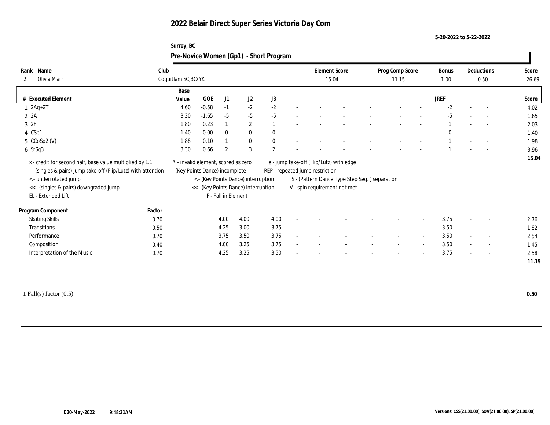#### **5-20-2022 to 5-22-2022**

| Surrey, BC                             |  |
|----------------------------------------|--|
| Pre-Novice Women (Gp1) - Short Program |  |

| Name<br>Rank                                                     | Club   |                                     |            |                     |                                      |                  |        | <b>Element Score</b>            |                                               | Prog Comp Score          |                          | Bonus        |        | Deductions               | Score |
|------------------------------------------------------------------|--------|-------------------------------------|------------|---------------------|--------------------------------------|------------------|--------|---------------------------------|-----------------------------------------------|--------------------------|--------------------------|--------------|--------|--------------------------|-------|
| Olivia Marr<br>$\mathbf{2}$                                      |        | Coquitlam SC, BC/YK                 |            |                     |                                      |                  |        |                                 | 15.04                                         | 11.15                    |                          | 1.00         |        | 0.50                     | 26.69 |
|                                                                  |        | Base                                |            |                     |                                      |                  |        |                                 |                                               |                          |                          |              |        |                          |       |
| # Executed Element                                               |        | Value                               | <b>GOE</b> | J1                  | J <sub>2</sub>                       | J3               |        |                                 |                                               |                          |                          | <b>JREF</b>  |        |                          | Score |
| $1 2Aq+2T$                                                       |        | 4.60                                | $-0.58$    | $-1$                | $-2$                                 | $-2$             |        |                                 |                                               |                          |                          | $-2$         |        |                          | 4.02  |
| 2 2A                                                             |        | 3.30                                | $-1.65$    | $-5$                | $-5$                                 | $-5$             |        |                                 |                                               |                          |                          | $-5$         |        |                          | 1.65  |
| 3 2F                                                             |        | 1.80                                | 0.23       |                     | $\mathbf{2}$                         |                  |        |                                 |                                               |                          |                          |              |        | $\overline{\phantom{a}}$ | 2.03  |
| 4 CSp1                                                           |        | 1.40                                | 0.00       | $\mathbf{0}$        | $\bf{0}$                             | $\bf{0}$         |        |                                 |                                               |                          |                          | $\mathbf{0}$ |        |                          | 1.40  |
| $5$ CCoSp2 (V)                                                   |        | 1.88                                | 0.10       |                     | $\bf{0}$                             | $\bf{0}$         |        |                                 |                                               |                          |                          |              |        |                          | 1.98  |
| 6 StSq3                                                          |        | 3.30                                | 0.66       | 2                   | 3                                    | $\boldsymbol{2}$ |        |                                 |                                               |                          |                          |              |        |                          | 3.96  |
| x - credit for second half, base value multiplied by 1.1         |        | * - invalid element, scored as zero |            |                     |                                      |                  |        |                                 | e - jump take-off (Flip/Lutz) with edge       |                          |                          |              |        |                          | 15.04 |
| ! - (singles & pairs) jump take-off (Flip/Lutz) with attention ! |        | - (Key Points Dance) incomplete     |            |                     |                                      |                  |        | REP - repeated jump restriction |                                               |                          |                          |              |        |                          |       |
| < - underrotated jump                                            |        |                                     |            |                     | < - (Key Points Dance) interruption  |                  |        |                                 | S - (Pattern Dance Type Step Seq.) separation |                          |                          |              |        |                          |       |
| << - (singles & pairs) downgraded jump                           |        |                                     |            |                     | << - (Key Points Dance) interruption |                  |        |                                 | V - spin requirement not met                  |                          |                          |              |        |                          |       |
| EL - Extended Lift                                               |        |                                     |            | F - Fall in Element |                                      |                  |        |                                 |                                               |                          |                          |              |        |                          |       |
| Program Component                                                | Factor |                                     |            |                     |                                      |                  |        |                                 |                                               |                          |                          |              |        |                          |       |
| <b>Skating Skills</b>                                            | 0.70   |                                     |            | 4.00                | 4.00                                 | 4.00             |        |                                 |                                               |                          | $\sim$                   | 3.75         |        | $\overline{\phantom{a}}$ | 2.76  |
| Transitions                                                      | 0.50   |                                     |            | 4.25                | 3.00                                 | 3.75             | $\sim$ |                                 |                                               | $\sim$                   | $\sim$                   | 3.50         | $\sim$ | $\sim$                   | 1.82  |
| Performance                                                      | 0.70   |                                     |            | 3.75                | 3.50                                 | 3.75             |        |                                 |                                               | $\overline{\phantom{a}}$ | $\sim$                   | 3.50         | $\sim$ | $\sim$                   | 2.54  |
| Composition                                                      | 0.40   |                                     |            | 4.00                | 3.25                                 | 3.75             |        |                                 |                                               |                          | $\sim$                   | 3.50         | $\sim$ | $\sim$                   | 1.45  |
|                                                                  |        |                                     |            |                     |                                      |                  |        |                                 |                                               |                          |                          |              | $\sim$ |                          | 2.58  |
|                                                                  |        |                                     |            |                     |                                      |                  |        |                                 |                                               |                          |                          |              |        |                          | 11.15 |
| Interpretation of the Music                                      | 0.70   |                                     |            | 4.25                | 3.25                                 | 3.50             |        |                                 |                                               |                          | $\overline{\phantom{0}}$ | 3.75         |        | $\overline{\phantom{a}}$ |       |

1 Fall(s) factor (0.5) **0.50**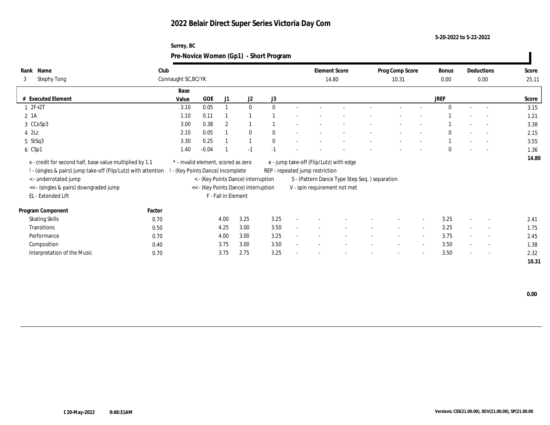**5-20-2022 to 5-22-2022**

| Surrey, BC                             |
|----------------------------------------|
| Pre-Novice Women (Gp1) - Short Program |

| Name<br>Rank<br>3<br><b>Stephy Tong</b>                        | Club<br>Connaught SC, BC/YK |                                     |                     |                                      |              | <b>Element Score</b><br>14.80           |                                               | Prog Comp Score<br>10.31 |                          | Bonus<br>$0.00\,$ | Deductions<br>0.00       |                          | Score<br>25.11 |
|----------------------------------------------------------------|-----------------------------|-------------------------------------|---------------------|--------------------------------------|--------------|-----------------------------------------|-----------------------------------------------|--------------------------|--------------------------|-------------------|--------------------------|--------------------------|----------------|
|                                                                | Base                        |                                     |                     |                                      |              |                                         |                                               |                          |                          |                   |                          |                          |                |
| # Executed Element                                             | Value                       | GOE                                 | J1                  | J2                                   | J3           |                                         |                                               |                          |                          | <b>JREF</b>       |                          |                          | Score          |
| $1 2F+2T$                                                      | 3.10                        | 0.05                                |                     | $\mathbf{0}$                         | $\mathbf{0}$ |                                         |                                               |                          |                          | $\Omega$          |                          | $\overline{a}$           | 3.15           |
| 2 1A                                                           | 1.10                        | 0.11                                |                     |                                      |              |                                         |                                               |                          |                          |                   |                          | $\overline{\phantom{a}}$ | 1.21           |
| 3 CCoSp3                                                       | 3.00                        | 0.38                                | $\boldsymbol{2}$    |                                      |              |                                         |                                               |                          |                          |                   |                          |                          | 3.38           |
| $4$ $2\text{L}z$                                               | 2.10                        | 0.05                                |                     | $\mathbf{0}$                         | $\mathbf{0}$ |                                         |                                               |                          |                          | $\Omega$          |                          | $\overline{\phantom{a}}$ | 2.15           |
| 5 StSq3                                                        | 3.30                        | 0.25                                |                     |                                      | $\mathbf{0}$ |                                         |                                               |                          |                          |                   |                          |                          | 3.55           |
| 6 CSp1                                                         | 1.40                        | $-0.04$                             |                     | $-1$                                 | $-1$         |                                         |                                               |                          |                          | $\Omega$          |                          | $\overline{\phantom{a}}$ | 1.36           |
| x - credit for second half, base value multiplied by 1.1       |                             | * - invalid element, scored as zero |                     |                                      |              | e - jump take-off (Flip/Lutz) with edge |                                               |                          |                          |                   |                          |                          | 14.80          |
| ! - (singles & pairs) jump take-off (Flip/Lutz) with attention |                             | (Key Points Dance) incomplete       |                     |                                      |              | REP - repeated jump restriction         |                                               |                          |                          |                   |                          |                          |                |
| < - underrotated jump                                          |                             |                                     |                     | < - (Key Points Dance) interruption  |              |                                         | S - (Pattern Dance Type Step Seq.) separation |                          |                          |                   |                          |                          |                |
| << - (singles & pairs) downgraded jump                         |                             |                                     |                     | << - (Key Points Dance) interruption |              |                                         | V - spin requirement not met                  |                          |                          |                   |                          |                          |                |
| EL - Extended Lift                                             |                             |                                     | F - Fall in Element |                                      |              |                                         |                                               |                          |                          |                   |                          |                          |                |
| Program Component                                              | Factor                      |                                     |                     |                                      |              |                                         |                                               |                          |                          |                   |                          |                          |                |
| <b>Skating Skills</b>                                          | 0.70                        |                                     | 4.00                | 3.25                                 | 3.25         |                                         |                                               |                          | $\sim$                   | 3.25              | $\overline{\phantom{a}}$ | $\sim$                   | 2.41           |
| Transitions                                                    | 0.50                        |                                     | 4.25                | 3.00                                 | 3.50         |                                         |                                               |                          | $\overline{\phantom{a}}$ | 3.25              |                          | $\sim$                   | 1.75           |
| Performance                                                    | 0.70                        |                                     | 4.00                | 3.00                                 | 3.25         |                                         |                                               | $\overline{\phantom{a}}$ | $\sim$                   | 3.75              | $\sim$                   | $\overline{\phantom{a}}$ | 2.45           |
| Composition                                                    | 0.40                        |                                     | 3.75                | 3.00                                 | 3.50         |                                         |                                               |                          | $\sim$                   | 3.50              |                          | $\sim$                   | 1.38           |
| Interpretation of the Music                                    | 0.70                        |                                     | 3.75                | 2.75                                 | 3.25         |                                         |                                               |                          | $\overline{\phantom{a}}$ | 3.50              | $\sim$                   | $\overline{\phantom{a}}$ | 2.32           |
|                                                                |                             |                                     |                     |                                      |              |                                         |                                               |                          |                          |                   |                          |                          | 10.31          |

 **0.00**

 $\overline{\phantom{a}}$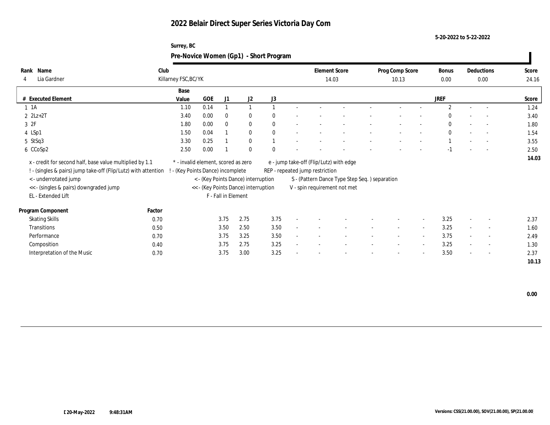**5-20-2022 to 5-22-2022**

| Surrey, BC                             |
|----------------------------------------|
| Pre-Novice Women (Gp1) - Short Program |

| Name<br>Rank<br>Lia Gardner<br>$\overline{4}$                                                                              | Club<br>Killarney FSC, BC/YK                                             |      |                     |                                      |              |                                 | <b>Element Score</b><br>14.03                 | Prog Comp Score<br>10.13 |                          | Bonus<br>0.00  |        | Deductions<br>0.00       | Score<br>24.16 |
|----------------------------------------------------------------------------------------------------------------------------|--------------------------------------------------------------------------|------|---------------------|--------------------------------------|--------------|---------------------------------|-----------------------------------------------|--------------------------|--------------------------|----------------|--------|--------------------------|----------------|
|                                                                                                                            |                                                                          |      |                     |                                      |              |                                 |                                               |                          |                          |                |        |                          |                |
|                                                                                                                            | Base                                                                     |      |                     |                                      |              |                                 |                                               |                          |                          |                |        |                          |                |
| # Executed Element                                                                                                         | Value                                                                    | GOE  | J1                  | J2                                   | J3           |                                 |                                               |                          |                          | <b>JREF</b>    |        |                          | Score          |
| $1 \t1A$                                                                                                                   | 1.10                                                                     | 0.14 |                     |                                      |              |                                 |                                               |                          |                          | $\mathfrak{D}$ |        |                          | 1.24           |
| $2$ $2Lz+2T$                                                                                                               | 3.40                                                                     | 0.00 | $\bf{0}$            | $\bf{0}$                             | $\mathbf{0}$ |                                 |                                               |                          |                          | $\Omega$       |        |                          | 3.40           |
| 3 2F                                                                                                                       | 1.80                                                                     | 0.00 | $\mathbf{0}$        | $\bf{0}$                             | $\mathbf{0}$ |                                 |                                               |                          |                          | $\bf{0}$       |        | $\sim$                   | 1.80           |
| 4 LSp1                                                                                                                     | 1.50                                                                     | 0.04 |                     | $\mathbf{0}$                         | $\theta$     |                                 |                                               |                          |                          | $\mathbf{0}$   |        |                          | 1.54           |
| 5 StSq3                                                                                                                    | 3.30                                                                     | 0.25 |                     | $\bf{0}$                             |              |                                 |                                               |                          |                          |                |        |                          | 3.55           |
| 6 CCoSp2                                                                                                                   | 2.50                                                                     | 0.00 |                     | $\mathbf{0}$                         | $\Omega$     |                                 |                                               |                          |                          | $-1$           |        |                          | 2.50           |
| x - credit for second half, base value multiplied by 1.1<br>! - (singles & pairs) jump take-off (Flip/Lutz) with attention | * - invalid element, scored as zero<br>! - (Key Points Dance) incomplete |      |                     |                                      |              | REP - repeated jump restriction | e - jump take-off (Flip/Lutz) with edge       |                          |                          |                |        |                          | 14.03          |
| < - underrotated jump                                                                                                      |                                                                          |      |                     | < - (Key Points Dance) interruption  |              |                                 | S - (Pattern Dance Type Step Seq.) separation |                          |                          |                |        |                          |                |
| << - (singles & pairs) downgraded jump                                                                                     |                                                                          |      |                     | << - (Key Points Dance) interruption |              |                                 | V - spin requirement not met                  |                          |                          |                |        |                          |                |
| EL - Extended Lift                                                                                                         |                                                                          |      | F - Fall in Element |                                      |              |                                 |                                               |                          |                          |                |        |                          |                |
| Factor<br>Program Component                                                                                                |                                                                          |      |                     |                                      |              |                                 |                                               |                          |                          |                |        |                          |                |
| <b>Skating Skills</b>                                                                                                      | 0.70                                                                     |      | 3.75                | 2.75                                 | 3.75         |                                 |                                               |                          | $\sim$                   | 3.25           |        | $\overline{\phantom{a}}$ | 2.37           |
| Transitions                                                                                                                | 0.50                                                                     |      | 3.50                | 2.50                                 | 3.50         |                                 |                                               | $\overline{\phantom{a}}$ | $\overline{\phantom{a}}$ | 3.25           |        | $\overline{\phantom{a}}$ | 1.60           |
| Performance                                                                                                                | 0.70                                                                     |      | 3.75                | 3.25                                 | 3.50         |                                 |                                               | $\overline{\phantom{a}}$ | $\sim$                   | 3.75           | $\sim$ | $\sim$                   | 2.49           |
| Composition                                                                                                                | 0.40                                                                     |      | 3.75                | 2.75                                 | 3.25         |                                 |                                               |                          | $\sim$                   | 3.25           | $\sim$ | $\overline{\phantom{a}}$ | 1.30           |
| Interpretation of the Music                                                                                                | 0.70                                                                     |      | 3.75                | 3.00                                 | 3.25         |                                 |                                               |                          | $\overline{\phantom{a}}$ | 3.50           | $\sim$ | $\sim$                   | 2.37           |
|                                                                                                                            |                                                                          |      |                     |                                      |              |                                 |                                               |                          |                          |                |        |                          | 10.13          |

 **0.00**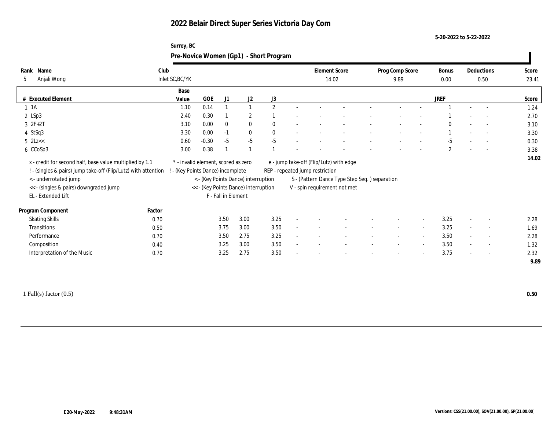**Surrey, BC**

**5-20-2022 to 5-22-2022**

|                               |                                                                                                                            |                                                                        |         |                     |                                      | Pre-Novice Women (Gp1) - Short Program |                                                                            |                                               |                          |                          |                      |        |                          |                |
|-------------------------------|----------------------------------------------------------------------------------------------------------------------------|------------------------------------------------------------------------|---------|---------------------|--------------------------------------|----------------------------------------|----------------------------------------------------------------------------|-----------------------------------------------|--------------------------|--------------------------|----------------------|--------|--------------------------|----------------|
| Rank Name<br>Anjali Wong<br>5 |                                                                                                                            | Club<br>Inlet SC, BC/YK                                                |         |                     |                                      |                                        | <b>Element Score</b><br>14.02                                              |                                               | Prog Comp Score<br>9.89  |                          | <b>Bonus</b><br>0.00 |        | Deductions<br>0.50       | Score<br>23.41 |
|                               |                                                                                                                            | Base                                                                   |         |                     |                                      |                                        |                                                                            |                                               |                          |                          |                      |        |                          |                |
| # Executed Element            |                                                                                                                            | Value                                                                  | GOE     | J1                  | J2                                   | J3                                     |                                                                            |                                               |                          |                          | <b>JREF</b>          |        |                          | Score          |
| $1 \t1A$                      |                                                                                                                            | 1.10                                                                   | 0.14    |                     |                                      | $\overline{2}$                         |                                                                            |                                               |                          |                          |                      |        |                          | 1.24           |
| $2$ LSp3                      |                                                                                                                            | 2.40                                                                   | 0.30    |                     | $\overline{2}$                       |                                        |                                                                            |                                               |                          |                          |                      |        |                          | 2.70           |
| $3 \t2F+2T$                   |                                                                                                                            | 3.10                                                                   | 0.00    | $\mathbf{0}$        | $\bf{0}$                             |                                        |                                                                            |                                               |                          |                          |                      |        |                          | 3.10           |
| 4 StSq3                       |                                                                                                                            | 3.30                                                                   | 0.00    | $-1$                | $\mathbf{0}$                         |                                        |                                                                            |                                               |                          |                          |                      |        |                          | 3.30           |
| $5$ $2Lz <$                   |                                                                                                                            | 0.60                                                                   | $-0.30$ | $-5$                | $-5$                                 | $-5$                                   |                                                                            |                                               |                          |                          | $-5$                 |        | $\sim$                   | 0.30           |
| 6 CCoSp3                      |                                                                                                                            | 3.00                                                                   | 0.38    |                     |                                      |                                        |                                                                            |                                               |                          |                          | $\mathbf{2}$         |        | $\overline{a}$           | 3.38           |
|                               | x - credit for second half, base value multiplied by 1.1<br>! - (singles & pairs) jump take-off (Flip/Lutz) with attention | * - invalid element, scored as zero<br>- (Key Points Dance) incomplete |         |                     |                                      |                                        | e - jump take-off (Flip/Lutz) with edge<br>REP - repeated jump restriction |                                               |                          |                          |                      |        |                          | 14.02          |
| <- underrotated jump          |                                                                                                                            |                                                                        |         |                     | < - (Key Points Dance) interruption  |                                        |                                                                            | S - (Pattern Dance Type Step Seq.) separation |                          |                          |                      |        |                          |                |
|                               | << - (singles & pairs) downgraded jump                                                                                     |                                                                        |         |                     | << - (Key Points Dance) interruption |                                        | V - spin requirement not met                                               |                                               |                          |                          |                      |        |                          |                |
| EL - Extended Lift            |                                                                                                                            |                                                                        |         | F - Fall in Element |                                      |                                        |                                                                            |                                               |                          |                          |                      |        |                          |                |
| Program Component             | Factor                                                                                                                     |                                                                        |         |                     |                                      |                                        |                                                                            |                                               |                          |                          |                      |        |                          |                |
| <b>Skating Skills</b>         |                                                                                                                            | 0.70                                                                   |         | 3.50                | 3.00                                 | 3.25                                   |                                                                            |                                               |                          |                          | 3.25                 |        |                          | 2.28           |
| Transitions                   |                                                                                                                            | 0.50                                                                   |         | 3.75                | 3.00                                 | 3.50                                   |                                                                            |                                               |                          | $\sim$                   | 3.25                 |        | $\overline{\phantom{a}}$ | 1.69           |
| Performance                   |                                                                                                                            | 0.70                                                                   |         | 3.50                | 2.75                                 | 3.25                                   |                                                                            |                                               |                          | $\overline{\phantom{a}}$ | 3.50                 |        |                          | 2.28           |
| Composition                   |                                                                                                                            | 0.40                                                                   |         | 3.25                | 3.00                                 | 3.50                                   |                                                                            |                                               | $\overline{\phantom{a}}$ | $\sim$                   | 3.50                 | $\sim$ | $\sim$                   | 1.32           |
| Interpretation of the Music   |                                                                                                                            | 0.70                                                                   |         | 3.25                | 2.75                                 | 3.50                                   |                                                                            |                                               |                          | $\overline{\phantom{a}}$ | 3.75                 |        | $\sim$                   | 2.32           |
|                               |                                                                                                                            |                                                                        |         |                     |                                      |                                        |                                                                            |                                               |                          |                          |                      |        |                          | 9.89           |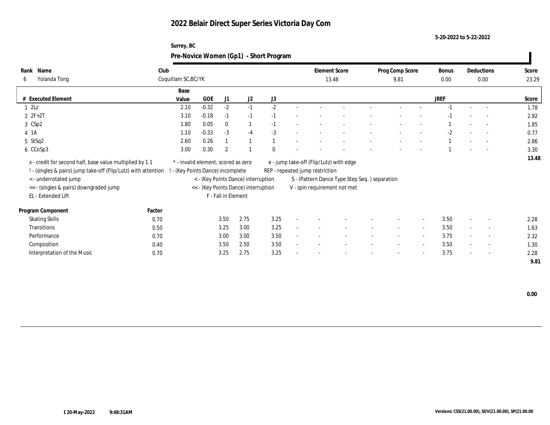#### **5-20-2022 to 5-22-2022**

| Surrey, BC                             |  |
|----------------------------------------|--|
| Pre-Novice Women (Gp1) - Short Program |  |

| Name<br>Rank<br>Yolanda Tong<br>6                              | Club   | Coquitlam SC, BC/YK                 |            |                     |                                      |          | <b>Element Score</b><br>13.48 |                                         |                                               | Prog Comp Score<br>9.81  |                          | Bonus<br>0.00 | Deductions<br>0.00 |                          | Score<br>23.29 |
|----------------------------------------------------------------|--------|-------------------------------------|------------|---------------------|--------------------------------------|----------|-------------------------------|-----------------------------------------|-----------------------------------------------|--------------------------|--------------------------|---------------|--------------------|--------------------------|----------------|
|                                                                |        | Base                                |            |                     |                                      |          |                               |                                         |                                               |                          |                          |               |                    |                          |                |
| # Executed Element                                             |        | Value                               | <b>GOE</b> | J1                  | J2                                   | J3       |                               |                                         |                                               |                          |                          | <b>JREF</b>   |                    |                          | Score          |
| $1 \, 2Lz$                                                     |        | 2.10                                | $-0.32$    | $-2$                | $-1$                                 | $-2$     |                               |                                         |                                               |                          |                          |               |                    |                          | 1.78           |
| $2 ZF+2T$                                                      |        | 3.10                                | $-0.18$    | $-1$                | $-1$                                 | $-1$     |                               |                                         |                                               |                          |                          | $-1$          |                    | $\overline{\phantom{a}}$ | 2.92           |
| 3 CSp2                                                         |        | 1.80                                | 0.05       | $\bf{0}$            | $\mathbf{1}$                         | $-1$     |                               |                                         |                                               |                          |                          |               |                    | $\overline{\phantom{a}}$ | 1.85           |
| 4 1A                                                           |        | 1.10                                | $-0.33$    | $-3$                | $-4$                                 | $-3$     |                               |                                         |                                               |                          |                          | $-2$          |                    | $\overline{\phantom{a}}$ | 0.77           |
| 5 StSq2                                                        |        | 2.60                                | 0.26       |                     |                                      |          |                               |                                         |                                               |                          |                          |               |                    |                          | 2.86           |
| 6 CCoSp3                                                       |        | 3.00                                | 0.30       | $\overline{2}$      |                                      | $\Omega$ |                               |                                         |                                               |                          |                          |               |                    | $\overline{\phantom{a}}$ | 3.30           |
| x - credit for second half, base value multiplied by 1.1       |        | * - invalid element, scored as zero |            |                     |                                      |          |                               | e - jump take-off (Flip/Lutz) with edge |                                               |                          |                          |               |                    |                          | 13.48          |
| ! - (singles & pairs) jump take-off (Flip/Lutz) with attention |        | (Key Points Dance) incomplete       |            |                     |                                      |          |                               | REP - repeated jump restriction         |                                               |                          |                          |               |                    |                          |                |
| < - underrotated jump                                          |        |                                     |            |                     | < - (Key Points Dance) interruption  |          |                               |                                         | S - (Pattern Dance Type Step Seq.) separation |                          |                          |               |                    |                          |                |
| << - (singles & pairs) downgraded jump<br>EL - Extended Lift   |        |                                     |            | F - Fall in Element | << - (Key Points Dance) interruption |          |                               |                                         | V - spin requirement not met                  |                          |                          |               |                    |                          |                |
| Program Component                                              | Factor |                                     |            |                     |                                      |          |                               |                                         |                                               |                          |                          |               |                    |                          |                |
| <b>Skating Skills</b>                                          | 0.70   |                                     |            | 3.50                | 2.75                                 | 3.25     |                               |                                         |                                               |                          | $\overline{\phantom{a}}$ | 3.50          |                    | $\overline{\phantom{a}}$ | 2.28           |
| Transitions                                                    | 0.50   |                                     |            | 3.25                | 3.00                                 | 3.25     | $\mathbf{r}$                  |                                         |                                               | $\sim$                   | $\overline{\phantom{a}}$ | 3.50          | $\sim$             | $\sim$                   | 1.63           |
| Performance                                                    | 0.70   |                                     |            | 3.00                | 3.00                                 | 3.50     |                               |                                         |                                               | $\overline{\phantom{a}}$ | $\sim$                   | 3.75          | $\sim$             | $\sim$                   | 2.32           |
| Composition                                                    | 0.40   |                                     |            | 3.50                | 2.50                                 | 3.50     |                               |                                         |                                               |                          | $\overline{\phantom{a}}$ | 3.50          | $\sim$             | $\sim$                   | 1.30           |
| Interpretation of the Music                                    | 0.70   |                                     |            | 3.25                | 2.75                                 | 3.25     |                               |                                         |                                               | $\overline{\phantom{0}}$ | $\overline{\phantom{a}}$ | 3.75          | $\sim$             | $\overline{\phantom{a}}$ | 2.28           |
|                                                                |        |                                     |            |                     |                                      |          |                               |                                         |                                               |                          |                          |               |                    |                          | 9.81           |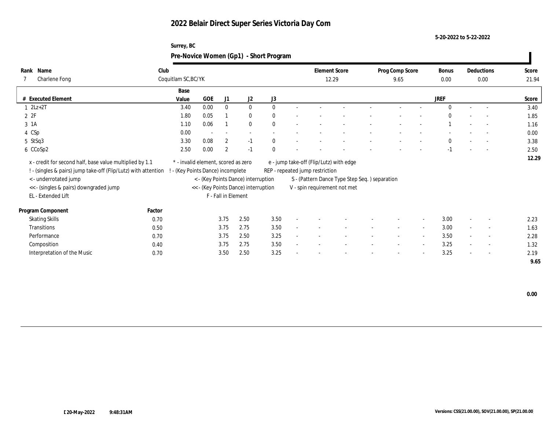**Surrey, BC**

**5-20-2022 to 5-22-2022**

|                                                                                                                                                                                                                     |        | Pre-Novice Women (Gp1) - Short Program                                 |                          |                     |                                                                             |      |                                 |                                                                                                                          |  |                         |        |               |                    |                          |                |
|---------------------------------------------------------------------------------------------------------------------------------------------------------------------------------------------------------------------|--------|------------------------------------------------------------------------|--------------------------|---------------------|-----------------------------------------------------------------------------|------|---------------------------------|--------------------------------------------------------------------------------------------------------------------------|--|-------------------------|--------|---------------|--------------------|--------------------------|----------------|
| Rank Name<br>Charlene Fong                                                                                                                                                                                          |        | Club<br>Coquitlam SC, BC/YK                                            |                          |                     |                                                                             |      | <b>Element Score</b><br>12.29   |                                                                                                                          |  | Prog Comp Score<br>9.65 |        | Bonus<br>0.00 | Deductions<br>0.00 |                          | Score<br>21.94 |
| # Executed Element                                                                                                                                                                                                  |        | Base<br>Value                                                          | <b>GOE</b>               | J1                  | J2                                                                          | J3   |                                 |                                                                                                                          |  |                         |        | <b>JREF</b>   |                    |                          | Score          |
| $2Lz+2T$                                                                                                                                                                                                            |        | 3.40                                                                   | 0.00                     | $\Omega$            | $\mathbf{0}$                                                                |      |                                 |                                                                                                                          |  |                         |        |               |                    |                          | 3.40           |
| 2Z                                                                                                                                                                                                                  |        | 1.80                                                                   | 0.05                     |                     | $\mathbf{0}$                                                                |      |                                 |                                                                                                                          |  |                         |        |               |                    |                          | 1.85           |
| 3 1A                                                                                                                                                                                                                |        | 1.10                                                                   | 0.06                     |                     | $\mathbf{0}$                                                                |      |                                 |                                                                                                                          |  |                         |        |               |                    |                          | 1.16           |
| 4 CSp                                                                                                                                                                                                               |        | 0.00                                                                   | $\overline{\phantom{a}}$ |                     |                                                                             |      |                                 |                                                                                                                          |  |                         |        |               |                    |                          | 0.00           |
| 5 StSq3                                                                                                                                                                                                             |        | 3.30                                                                   | 0.08                     | $\mathbf{2}$        | $-1$                                                                        | 0    |                                 |                                                                                                                          |  |                         |        | $\mathbf{0}$  |                    | $\sim$ $-$               | 3.38           |
| 6 CCoSp2                                                                                                                                                                                                            |        | 2.50                                                                   | 0.00                     | $\overline{2}$      | $-1$                                                                        |      |                                 |                                                                                                                          |  |                         |        |               |                    | $\overline{\phantom{a}}$ | 2.50           |
| x - credit for second half, base value multiplied by 1.1<br>! - (singles & pairs) jump take-off (Flip/Lutz) with attention<br>< - underrotated jump<br><< - (singles & pairs) downgraded jump<br>EL - Extended Lift |        | * - invalid element, scored as zero<br>- (Key Points Dance) incomplete |                          | F - Fall in Element | < - (Key Points Dance) interruption<br><< - (Key Points Dance) interruption |      | REP - repeated jump restriction | e - jump take-off (Flip/Lutz) with edge<br>S - (Pattern Dance Type Step Seq.) separation<br>V - spin requirement not met |  |                         |        |               |                    |                          | 12.29          |
| Program Component                                                                                                                                                                                                   | Factor |                                                                        |                          |                     |                                                                             |      |                                 |                                                                                                                          |  |                         |        |               |                    |                          |                |
| <b>Skating Skills</b>                                                                                                                                                                                               | 0.70   |                                                                        |                          | 3.75                | 2.50                                                                        | 3.50 |                                 |                                                                                                                          |  |                         | $\sim$ | 3.00          |                    |                          | 2.23           |
| Transitions                                                                                                                                                                                                         | 0.50   |                                                                        |                          | 3.75                | 2.75                                                                        | 3.50 |                                 |                                                                                                                          |  |                         | $\sim$ | 3.00          | $\sim$             | $\overline{\phantom{a}}$ | 1.63           |
| Performance                                                                                                                                                                                                         | 0.70   |                                                                        |                          | 3.75                | 2.50                                                                        | 3.25 |                                 |                                                                                                                          |  |                         | $\sim$ | 3.50          |                    | $\sim$                   | 2.28           |

Interpretation of the Music 0.70 0.70 3.50 2.50 3.25 - - - - - - - - 3.25 - - - - 3.25

 $\hbox{Composition} \qquad \qquad 0.40 \qquad \qquad 3.75 \quad \ 2.75 \qquad \quad 3.50 \qquad \qquad - \qquad - \qquad - \qquad - \qquad - \qquad - \qquad - \qquad 3.25 \qquad - \qquad - \qquad 1.32$ 

 **9.65**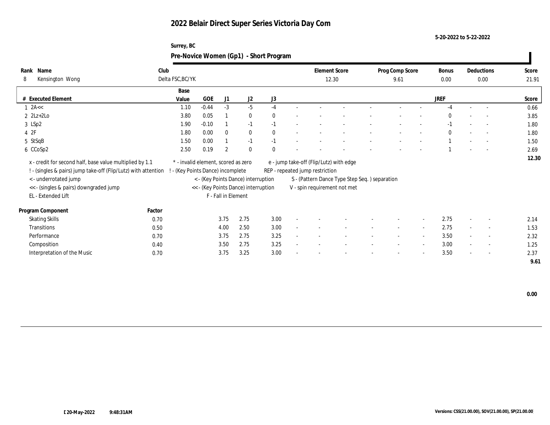**Surrey, BC**

**5-20-2022 to 5-22-2022**

|                                                                                                                                                     |        | Pre-Novice Women (Gp1) - Short Program                                 |            |                     |                                      |      |                                                                            |                                               |                         |                          |             |                          |                |
|-----------------------------------------------------------------------------------------------------------------------------------------------------|--------|------------------------------------------------------------------------|------------|---------------------|--------------------------------------|------|----------------------------------------------------------------------------|-----------------------------------------------|-------------------------|--------------------------|-------------|--------------------------|----------------|
| Rank Name<br>Kensington Wong<br>8                                                                                                                   | Club   | Delta FSC, BC/YK                                                       |            |                     |                                      |      | <b>Element Score</b><br>12.30                                              |                                               | Prog Comp Score<br>9.61 |                          |             | Deductions<br>0.00       | Score<br>21.91 |
|                                                                                                                                                     |        | Base                                                                   |            |                     |                                      |      |                                                                            |                                               |                         |                          |             |                          |                |
| # Executed Element                                                                                                                                  |        | Value                                                                  | <b>GOE</b> | J <sub>1</sub>      | J2                                   | J3   |                                                                            |                                               |                         |                          | <b>JREF</b> |                          | Score          |
| $1$ 2A $\lt$                                                                                                                                        |        | 1.10                                                                   | $-0.44$    | $-3$                | $-5$                                 | $-4$ |                                                                            |                                               |                         |                          | $-4$        |                          | 0.66           |
| $2$ $2Lz+2Lo$                                                                                                                                       |        | 3.80                                                                   | 0.05       |                     | $\bf{0}$                             |      |                                                                            |                                               |                         |                          |             |                          | 3.85           |
| 3 LSp2                                                                                                                                              |        | 1.90                                                                   | $-0.10$    |                     | $-1$                                 | $-1$ |                                                                            |                                               |                         |                          |             | $\overline{\phantom{a}}$ | 1.80           |
| 42F                                                                                                                                                 |        | 1.80                                                                   | 0.00       | $\Omega$            | $\bf{0}$                             |      |                                                                            |                                               |                         |                          | $\Omega$    | $\overline{\phantom{a}}$ | 1.80           |
| 5 StSqB                                                                                                                                             |        | 1.50                                                                   | 0.00       |                     | $-1$                                 |      |                                                                            |                                               |                         |                          |             |                          | 1.50           |
| 6 CCoSp2                                                                                                                                            |        | 2.50                                                                   | 0.19       | $\overline{2}$      | $\mathbf{0}$                         |      |                                                                            |                                               |                         |                          |             |                          | 2.69           |
| x - credit for second half, base value multiplied by 1.1<br>! - (singles & pairs) jump take-off (Flip/Lutz) with attention<br>< - underrotated jump |        | * - invalid element, scored as zero<br>- (Key Points Dance) incomplete |            |                     | < - (Key Points Dance) interruption  |      | e - jump take-off (Flip/Lutz) with edge<br>REP - repeated jump restriction | S - (Pattern Dance Type Step Seq.) separation |                         |                          |             |                          | 12.30          |
| << - (singles & pairs) downgraded jump                                                                                                              |        |                                                                        |            |                     | << - (Key Points Dance) interruption |      | V - spin requirement not met                                               |                                               |                         |                          |             |                          |                |
| EL - Extended Lift                                                                                                                                  |        |                                                                        |            | F - Fall in Element |                                      |      |                                                                            |                                               |                         |                          |             |                          |                |
| Program Component                                                                                                                                   | Factor |                                                                        |            |                     |                                      |      |                                                                            |                                               |                         |                          |             |                          |                |
| <b>Skating Skills</b>                                                                                                                               | 0.70   |                                                                        |            | 3.75                | 2.75                                 | 3.00 |                                                                            |                                               |                         |                          | 2.75        |                          | 2.14           |
| Transitions                                                                                                                                         | 0.50   |                                                                        |            | 4.00                | 2.50                                 | 3.00 |                                                                            |                                               |                         | $\overline{\phantom{a}}$ | 2.75        | $\overline{a}$           | 1.53           |
| Performance                                                                                                                                         | 0.70   |                                                                        |            | 3.75                | 2.75                                 | 3.25 |                                                                            |                                               |                         | $\overline{\phantom{a}}$ | 3.50        |                          | 2.32           |
| Composition                                                                                                                                         | 0.40   |                                                                        |            | 3.50                | 2.75                                 | 3.25 |                                                                            |                                               |                         | $\overline{\phantom{a}}$ | 3.00        |                          | 1.25           |
| Interpretation of the Music                                                                                                                         | 0.70   |                                                                        |            | 3.75                | 3.25                                 | 3.00 |                                                                            |                                               |                         |                          | 3.50        |                          | 2.37           |
|                                                                                                                                                     |        |                                                                        |            |                     |                                      |      |                                                                            |                                               |                         |                          |             |                          | 9.61           |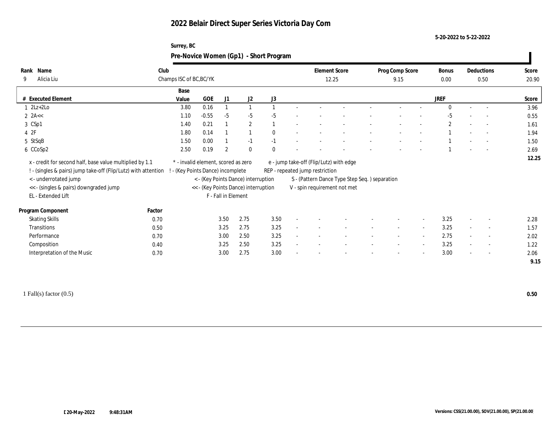#### **5-20-2022 to 5-22-2022**

| Surrey, BC                             |  |
|----------------------------------------|--|
| Pre-Novice Women (Gp1) - Short Program |  |

| Name<br>Rank                                                                                                               | Club   |                                                                        |         |                     |                                      |              |                          | <b>Element Score</b>            |                                               | Prog Comp Score | <b>Bonus</b> |        | Deductions               | Score |
|----------------------------------------------------------------------------------------------------------------------------|--------|------------------------------------------------------------------------|---------|---------------------|--------------------------------------|--------------|--------------------------|---------------------------------|-----------------------------------------------|-----------------|--------------|--------|--------------------------|-------|
| Alicia Liu<br>9                                                                                                            |        | Champs ISC of BC, BC/YK                                                |         |                     |                                      |              |                          |                                 | 12.25                                         | 9.15            | 0.00         |        | 0.50                     | 20.90 |
|                                                                                                                            |        | Base                                                                   |         |                     |                                      |              |                          |                                 |                                               |                 |              |        |                          |       |
| <b>Executed Element</b>                                                                                                    |        | Value                                                                  | GOE     | J1                  | J2                                   | J3           |                          |                                 |                                               |                 | <b>JREF</b>  |        |                          | Score |
| $2Lz+2Lo$                                                                                                                  |        | 3.80                                                                   | 0.16    |                     | $\mathbf{1}$                         |              |                          |                                 |                                               |                 | $\Omega$     |        |                          | 3.96  |
| $2$ 2A $<$                                                                                                                 |        | 1.10                                                                   | $-0.55$ | $-5$                | $-5$                                 | $-5$         |                          |                                 |                                               |                 | $-5$         |        | $\overline{\phantom{a}}$ | 0.55  |
| 3 CSp1                                                                                                                     |        | 1.40                                                                   | 0.21    |                     | $\overline{2}$                       |              | $\overline{\phantom{a}}$ |                                 |                                               |                 | $\mathbf{2}$ |        | $\overline{\phantom{a}}$ | 1.61  |
| 4 2F                                                                                                                       |        | 1.80                                                                   | 0.14    |                     |                                      | $\bf{0}$     |                          |                                 |                                               |                 |              |        |                          | 1.94  |
| 5 StSqB                                                                                                                    |        | 1.50                                                                   | 0.00    |                     | $-1$                                 | $-1$         |                          |                                 |                                               |                 |              |        | $\overline{\phantom{a}}$ | 1.50  |
| 6 CCoSp2                                                                                                                   |        | 2.50                                                                   | 0.19    | $\boldsymbol{2}$    | $\bf{0}$                             | $\mathbf{0}$ |                          |                                 |                                               |                 |              |        |                          | 2.69  |
| x - credit for second half, base value multiplied by 1.1<br>! - (singles & pairs) jump take-off (Flip/Lutz) with attention |        | * - invalid element, scored as zero<br>- (Key Points Dance) incomplete |         |                     |                                      |              |                          | REP - repeated jump restriction | e - jump take-off (Flip/Lutz) with edge       |                 |              |        |                          | 12.25 |
| < - underrotated jump                                                                                                      |        |                                                                        |         |                     | < - (Key Points Dance) interruption  |              |                          |                                 | S - (Pattern Dance Type Step Seq.) separation |                 |              |        |                          |       |
| << - (singles & pairs) downgraded jump                                                                                     |        |                                                                        |         |                     | << - (Key Points Dance) interruption |              |                          |                                 | V - spin requirement not met                  |                 |              |        |                          |       |
| EL - Extended Lift                                                                                                         |        |                                                                        |         | F - Fall in Element |                                      |              |                          |                                 |                                               |                 |              |        |                          |       |
| Program Component                                                                                                          | Factor |                                                                        |         |                     |                                      |              |                          |                                 |                                               |                 |              |        |                          |       |
| <b>Skating Skills</b>                                                                                                      | 0.70   |                                                                        |         | 3.50                | 2.75                                 | 3.50         |                          |                                 |                                               |                 | 3.25         | $\sim$ | $\overline{\phantom{a}}$ | 2.28  |
| Transitions                                                                                                                | 0.50   |                                                                        |         | 3.25                | 2.75                                 | 3.25         |                          |                                 |                                               |                 | 3.25         |        | $\overline{\phantom{a}}$ | 1.57  |
| Performance                                                                                                                | 0.70   |                                                                        |         | 3.00                | 2.50                                 | 3.25         |                          |                                 |                                               |                 | 2.75         |        | $\overline{\phantom{0}}$ | 2.02  |
| Composition                                                                                                                | 0.40   |                                                                        |         | 3.25                | 2.50                                 | 3.25         |                          |                                 |                                               |                 | 3.25         |        | $\overline{\phantom{a}}$ | 1.22  |
| Interpretation of the Music                                                                                                | 0.70   |                                                                        |         | 3.00                | 2.75                                 | 3.00         |                          |                                 |                                               |                 | 3.00         |        | $\sim$                   | 2.06  |
|                                                                                                                            |        |                                                                        |         |                     |                                      |              |                          |                                 |                                               |                 |              |        |                          | 9.15  |
|                                                                                                                            |        |                                                                        |         |                     |                                      |              |                          |                                 |                                               |                 |              |        |                          |       |

1 Fall(s) factor (0.5) **0.50**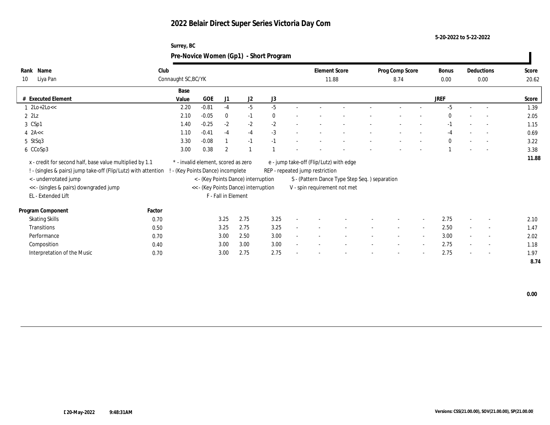**5-20-2022 to 5-22-2022**

| Surrey, BC<br>Pre-Novice Women (Gp1) - Short Program |         |                            |      |                |    |  |  |                               |      |  |                 |                          |                          |                                  |
|------------------------------------------------------|---------|----------------------------|------|----------------|----|--|--|-------------------------------|------|--|-----------------|--------------------------|--------------------------|----------------------------------|
| Club                                                 |         |                            |      |                |    |  |  |                               | 8.74 |  | Bonus<br>0.00   |                          |                          | Score<br>20.62                   |
| Base                                                 |         |                            |      |                |    |  |  |                               |      |  |                 |                          |                          |                                  |
|                                                      |         |                            |      |                |    |  |  |                               |      |  |                 |                          |                          | Score                            |
| 2.20                                                 | $-0.81$ | -4                         | -5   | -5             |    |  |  |                               |      |  | -5              |                          |                          | 1.39                             |
| 2.10                                                 | $-0.05$ | $\mathbf{0}$               | $-1$ | $\bf{0}$       |    |  |  |                               |      |  | 0               | $\overline{a}$           |                          | 2.05                             |
|                                                      |         |                            |      |                |    |  |  |                               |      |  |                 |                          |                          |                                  |
| 1.40                                                 | $-0.25$ | $-2$                       | $-2$ | $-2$           |    |  |  |                               |      |  | - 1             | $\overline{\phantom{a}}$ | $\sim 100$               | 1.15                             |
| 1.10                                                 | $-0.41$ | $-4$                       | $-4$ | $-3$           |    |  |  |                               |      |  | $-4$            | $\sim$                   | <b>Contract Contract</b> | 0.69                             |
|                                                      | Value   | Connaught SC, BC/YK<br>GOE | J1   | J <sub>2</sub> | J3 |  |  | <b>Element Score</b><br>11.88 |      |  | Prog Comp Score | <b>JREF</b>              |                          | Deductions<br>0.00<br>$\sim 100$ |

| x - credit for second half, base value multiplied by 1.1                                         | * - invalid element, scored as zero | e - jump take-off (Flip/Lutz) with edge | 11.88 |
|--------------------------------------------------------------------------------------------------|-------------------------------------|-----------------------------------------|-------|
| ! - (singles & pairs) jump take-off (Flip/Lutz) with attention ! - (Key Points Dance) incomplete |                                     | REP - repeated jump restriction         |       |

6 CCoSp3 3.38 3.00 0.38 2 1 1 - - - - - - - - - 1 - - 3.38

- < underrotated jump < (Key Points Dance) interruption S (Pattern Dance Type Step Seq. ) separation << - (singles & pairs) downgraded jump << - (Key Points Dance) interruption V - spin requirement not met
- 

**Rank** 10 Liya Pan

| EL - Extended Lift          |        | F - Fall in Element |      |                          |  |        |                          |                          |      |                          |                          |      |
|-----------------------------|--------|---------------------|------|--------------------------|--|--------|--------------------------|--------------------------|------|--------------------------|--------------------------|------|
| Program Component           | Factor |                     |      |                          |  |        |                          |                          |      |                          |                          |      |
| <b>Skating Skills</b>       | 0.70   | 3.25<br>2.75        | 3.25 | $\overline{\phantom{0}}$ |  | $\sim$ | $\sim$                   | $\overline{\phantom{0}}$ | 2.75 | $\overline{\phantom{a}}$ | $\overline{\phantom{a}}$ | 2.10 |
| Transitions                 | 0.50   | 3.25<br>2.75        | 3.25 | $\overline{\phantom{0}}$ |  | $\sim$ | $\overline{\phantom{0}}$ | $\overline{\phantom{a}}$ | 2.50 | $\overline{\phantom{a}}$ | $\sim$                   | 1.47 |
| Performance                 | 0.70   | 2.50<br>3.00        | 3.00 | $\overline{\phantom{a}}$ |  |        | $\overline{\phantom{0}}$ | $\sim$                   | 3.00 | $\sim$                   | $\sim$                   | 2.02 |
| Composition                 | 0.40   | 3.00<br>3.00        | 3.00 | $\overline{\phantom{0}}$ |  | $\sim$ | $\overline{\phantom{0}}$ | $\sim$                   | 2.75 | $\overline{\phantom{a}}$ | $\sim$                   | 1.18 |
| Interpretation of the Music | 0.70   | 3.00<br>2.75        | 2.75 | $\sim$                   |  | $\sim$ | $\overline{\phantom{0}}$ | $\overline{\phantom{a}}$ | 2.75 | $\overline{\phantom{0}}$ | $\overline{\phantom{a}}$ | 1.97 |

 **8.74**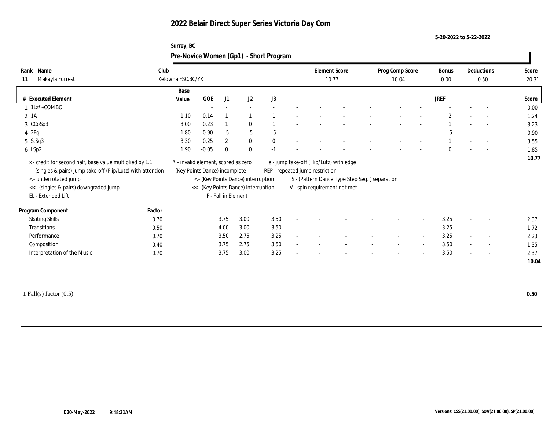**Surrey, BC**

**5-20-2022 to 5-22-2022**

| Rank Name                                                      | Club   |                                           |         |                     |                                      |      | <b>Element Score</b>            |                                               | Prog Comp Score          |                          | Bonus        | Deductions               | Score |
|----------------------------------------------------------------|--------|-------------------------------------------|---------|---------------------|--------------------------------------|------|---------------------------------|-----------------------------------------------|--------------------------|--------------------------|--------------|--------------------------|-------|
| Makayla Forrest<br>11                                          |        | Kelowna FSC, BC/YK                        |         |                     |                                      |      | 10.77                           |                                               | 10.04                    |                          | 0.00         | 0.50                     | 20.31 |
|                                                                |        | Base                                      |         |                     |                                      |      |                                 |                                               |                          |                          |              |                          |       |
| # Executed Element                                             |        | Value                                     | GOE     | J1                  | J2                                   | J3   |                                 |                                               |                          |                          | <b>JREF</b>  |                          | Score |
| $1 \text{ } 1\text{Lz}^* + \text{COMBO}$                       |        |                                           | $\sim$  |                     |                                      |      |                                 |                                               |                          |                          |              |                          | 0.00  |
| $2 \; 1A$                                                      |        | 1.10                                      | 0.14    |                     |                                      |      |                                 |                                               |                          |                          | $\mathbf{2}$ | $\sim$                   | 1.24  |
| 3 CCoSp3                                                       |        | 3.00                                      | 0.23    |                     | $\mathbf{0}$                         |      |                                 |                                               |                          |                          |              |                          | 3.23  |
| 42Fq                                                           |        | 1.80                                      | $-0.90$ | $-5$                | $-5$                                 | $-5$ |                                 |                                               |                          |                          | $-5$         |                          | 0.90  |
| 5 StSq3                                                        |        | 3.30                                      | 0.25    | $\boldsymbol{2}$    | $\bf{0}$                             |      |                                 |                                               |                          |                          |              | $\overline{\phantom{a}}$ | 3.55  |
| 6 LSp2                                                         |        | 1.90                                      | $-0.05$ | $\theta$            | $\mathbf{0}$                         |      |                                 |                                               |                          |                          | $\theta$     |                          | 1.85  |
| x - credit for second half, base value multiplied by 1.1       |        | $^\ast$ - invalid element, scored as zero |         |                     |                                      |      |                                 | e - jump take-off (Flip/Lutz) with edge       |                          |                          |              |                          | 10.77 |
| ! - (singles & pairs) jump take-off (Flip/Lutz) with attention |        | ! - (Key Points Dance) incomplete         |         |                     |                                      |      | REP - repeated jump restriction |                                               |                          |                          |              |                          |       |
| < - underrotated jump                                          |        |                                           |         |                     | < - (Key Points Dance) interruption  |      |                                 | S - (Pattern Dance Type Step Seq.) separation |                          |                          |              |                          |       |
| << - (singles & pairs) downgraded jump                         |        |                                           |         |                     | << - (Key Points Dance) interruption |      |                                 | V - spin requirement not met                  |                          |                          |              |                          |       |
| EL - Extended Lift                                             |        |                                           |         | F - Fall in Element |                                      |      |                                 |                                               |                          |                          |              |                          |       |
| Program Component                                              | Factor |                                           |         |                     |                                      |      |                                 |                                               |                          |                          |              |                          |       |
| <b>Skating Skills</b>                                          | 0.70   |                                           |         | 3.75                | 3.00                                 | 3.50 |                                 |                                               |                          |                          | 3.25         |                          | 2.37  |
| Transitions                                                    | 0.50   |                                           |         | 4.00                | 3.00                                 | 3.50 |                                 |                                               |                          | $\overline{\phantom{a}}$ | 3.25         | $\overline{\phantom{a}}$ | 1.72  |
| Performance                                                    | 0.70   |                                           |         | 3.50                | 2.75                                 | 3.25 |                                 |                                               | $\overline{\phantom{a}}$ | $\overline{\phantom{a}}$ | 3.25         | $\overline{\phantom{a}}$ | 2.23  |
| Composition                                                    | 0.40   |                                           |         | 3.75                | 2.75                                 | 3.50 |                                 |                                               | $\overline{\phantom{a}}$ | $\sim$                   | 3.50         | $\overline{\phantom{a}}$ | 1.35  |
|                                                                | 0.70   |                                           |         | 3.75                | 3.00                                 | 3.25 |                                 |                                               |                          |                          | 3.50         |                          | 2.37  |
| Interpretation of the Music                                    |        |                                           |         |                     |                                      |      |                                 |                                               |                          |                          |              |                          |       |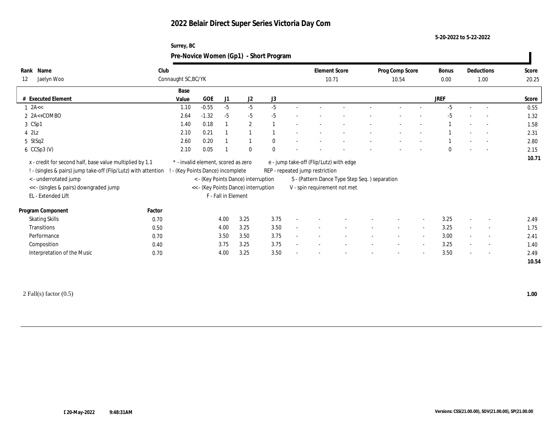#### **5-20-2022 to 5-22-2022**

| Surrey, BC                             |  |
|----------------------------------------|--|
| Pre-Novice Women (Gp1) - Short Program |  |

| Name<br>Rank                                                                                                               | Club   |                                                                        |         |                     |                                      |          |                          |                                 | <b>Element Score</b>                          | Prog Comp Score |                          | Bonus       |        | Deductions               | Score |
|----------------------------------------------------------------------------------------------------------------------------|--------|------------------------------------------------------------------------|---------|---------------------|--------------------------------------|----------|--------------------------|---------------------------------|-----------------------------------------------|-----------------|--------------------------|-------------|--------|--------------------------|-------|
| 12<br>Jaelyn Woo                                                                                                           |        | Connaught SC, BC/YK                                                    |         |                     |                                      |          |                          |                                 | 10.71                                         | 10.54           |                          | 0.00        |        | 1.00                     | 20.25 |
|                                                                                                                            |        | Base                                                                   |         |                     |                                      |          |                          |                                 |                                               |                 |                          |             |        |                          |       |
| # Executed Element                                                                                                         |        | Value                                                                  | GOE     | J1                  | J <sub>2</sub>                       | J3       |                          |                                 |                                               |                 |                          | <b>JREF</b> |        |                          | Score |
| $1$ 2A $\lt$                                                                                                               |        | 1.10                                                                   | $-0.55$ | $-5$                | $-5$                                 | $-5$     |                          |                                 |                                               |                 |                          | $-5$        |        |                          | 0.55  |
| $2 \text{ A} < + \text{COMBO}$                                                                                             |        | 2.64                                                                   | $-1.32$ | $-5$                | $-5$                                 | $-5$     |                          |                                 |                                               |                 |                          | $-5$        |        |                          | 1.32  |
| 3 CSp1                                                                                                                     |        | 1.40                                                                   | 0.18    |                     | $\mathbf{2}$                         |          |                          |                                 |                                               |                 |                          |             |        | $\overline{\phantom{a}}$ | 1.58  |
| $4$ $2\text{L}z$                                                                                                           |        | 2.10                                                                   | 0.21    |                     |                                      |          |                          |                                 |                                               |                 |                          |             |        |                          | 2.31  |
| 5 StSq2                                                                                                                    |        | 2.60                                                                   | 0.20    |                     |                                      | $\bf{0}$ |                          |                                 |                                               |                 |                          |             |        |                          | 2.80  |
| $6$ CCSp3 (V)                                                                                                              |        | 2.10                                                                   | 0.05    |                     | $\mathbf{0}$                         | $\bf{0}$ |                          |                                 |                                               |                 |                          | $\bf{0}$    |        | $\overline{\phantom{a}}$ | 2.15  |
| x - credit for second half, base value multiplied by 1.1<br>! - (singles & pairs) jump take-off (Flip/Lutz) with attention |        | * - invalid element, scored as zero<br>- (Key Points Dance) incomplete |         |                     |                                      |          |                          | REP - repeated jump restriction | e - jump take-off (Flip/Lutz) with edge       |                 |                          |             |        |                          | 10.71 |
| < - underrotated jump                                                                                                      |        |                                                                        |         |                     | < - (Key Points Dance) interruption  |          |                          |                                 | S - (Pattern Dance Type Step Seq.) separation |                 |                          |             |        |                          |       |
| << - (singles & pairs) downgraded jump                                                                                     |        |                                                                        |         |                     | << - (Key Points Dance) interruption |          |                          |                                 | V - spin requirement not met                  |                 |                          |             |        |                          |       |
| EL - Extended Lift                                                                                                         |        |                                                                        |         | F - Fall in Element |                                      |          |                          |                                 |                                               |                 |                          |             |        |                          |       |
| Program Component                                                                                                          | Factor |                                                                        |         |                     |                                      |          |                          |                                 |                                               |                 |                          |             |        |                          |       |
| <b>Skating Skills</b>                                                                                                      | 0.70   |                                                                        |         | 4.00                | 3.25                                 | 3.75     |                          |                                 |                                               |                 |                          | 3.25        |        | $\overline{\phantom{a}}$ | 2.49  |
| Transitions                                                                                                                | 0.50   |                                                                        |         | 4.00                | 3.25                                 | 3.50     | $\overline{\phantom{a}}$ |                                 |                                               |                 |                          | 3.25        |        | $\overline{\phantom{a}}$ | 1.75  |
| Performance                                                                                                                | 0.70   |                                                                        |         | 3.50                | 3.50                                 | 3.75     |                          |                                 |                                               |                 | $\overline{\phantom{0}}$ | 3.00        |        | $\overline{\phantom{a}}$ | 2.41  |
| Composition                                                                                                                | 0.40   |                                                                        |         | 3.75                | 3.25                                 | 3.75     |                          |                                 |                                               |                 |                          | 3.25        |        | $\overline{\phantom{a}}$ | 1.40  |
|                                                                                                                            |        |                                                                        |         | 4.00                | 3.25                                 | 3.50     |                          |                                 |                                               |                 |                          | 3.50        | $\sim$ | $\overline{\phantom{a}}$ | 2.49  |
| Interpretation of the Music                                                                                                | 0.70   |                                                                        |         |                     |                                      |          |                          |                                 |                                               |                 |                          |             |        |                          |       |

2 Fall(s) factor (0.5) **1.00**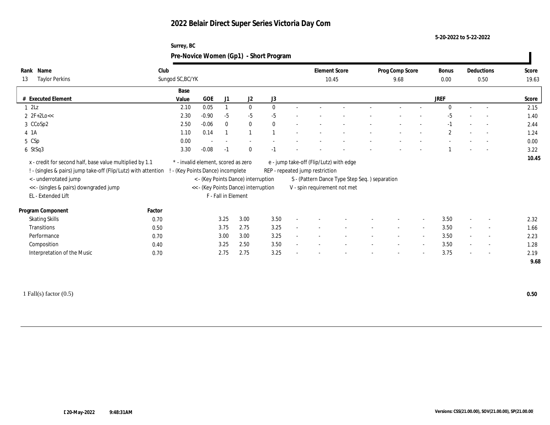**5-20-2022 to 5-22-2022**

|                                                                                                                                                                                                                     | Surrey, BC<br>Pre-Novice Women (Gp1) - Short Program                   |            |                     |                                                                             |      |                                                                                                                                                             |  |                          |             |                          |            |       |
|---------------------------------------------------------------------------------------------------------------------------------------------------------------------------------------------------------------------|------------------------------------------------------------------------|------------|---------------------|-----------------------------------------------------------------------------|------|-------------------------------------------------------------------------------------------------------------------------------------------------------------|--|--------------------------|-------------|--------------------------|------------|-------|
| Rank Name                                                                                                                                                                                                           | Club                                                                   |            |                     |                                                                             |      | <b>Element Score</b>                                                                                                                                        |  | Prog Comp Score          | Bonus       |                          | Deductions | Score |
| <b>Taylor Perkins</b><br>13                                                                                                                                                                                         | Sungod SC, BC/YK                                                       |            |                     |                                                                             |      | 10.45                                                                                                                                                       |  | 9.68                     | 0.00        |                          | 0.50       | 19.63 |
|                                                                                                                                                                                                                     | Base                                                                   |            |                     |                                                                             |      |                                                                                                                                                             |  |                          |             |                          |            |       |
| # Executed Element                                                                                                                                                                                                  | Value                                                                  | <b>GOE</b> | J1                  | J2                                                                          | J3   |                                                                                                                                                             |  |                          | <b>JREF</b> |                          |            | Score |
| $1 \, 2Lz$                                                                                                                                                                                                          | 2.10                                                                   | 0.05       |                     | $\mathbf{0}$                                                                |      |                                                                                                                                                             |  |                          |             |                          |            | 2.15  |
| $2 \text{ } 2F + 2Lo <<$                                                                                                                                                                                            | 2.30                                                                   | $-0.90$    | $-5$                | $-5$                                                                        | $-5$ |                                                                                                                                                             |  |                          | $-5$        |                          |            | 1.40  |
| 3 CCoSp2                                                                                                                                                                                                            | 2.50                                                                   | $-0.06$    |                     | $\mathbf{0}$                                                                |      |                                                                                                                                                             |  | $\overline{\phantom{a}}$ | $-1$        | $\overline{\phantom{a}}$ | $\sim$     | 2.44  |
| 4 1A                                                                                                                                                                                                                | 1.10                                                                   | 0.14       |                     |                                                                             |      |                                                                                                                                                             |  | $\overline{\phantom{a}}$ | 2           | $\overline{\phantom{a}}$ | $\sim$     | 1.24  |
| 5 CSp                                                                                                                                                                                                               | 0.00                                                                   |            |                     |                                                                             |      |                                                                                                                                                             |  |                          |             |                          |            | 0.00  |
| 6 StSq3                                                                                                                                                                                                             | 3.30                                                                   | $-0.08$    | $-1$                | $\theta$                                                                    |      |                                                                                                                                                             |  |                          |             |                          |            | 3.22  |
| x - credit for second half, base value multiplied by 1.1<br>! - (singles & pairs) jump take-off (Flip/Lutz) with attention<br>< - underrotated jump<br><< - (singles & pairs) downgraded jump<br>EL - Extended Lift | * - invalid element, scored as zero<br>- (Key Points Dance) incomplete |            | F - Fall in Element | < - (Key Points Dance) interruption<br><< - (Key Points Dance) interruption |      | e - jump take-off (Flip/Lutz) with edge<br>REP - repeated jump restriction<br>S - (Pattern Dance Type Step Seq.) separation<br>V - spin requirement not met |  |                          |             |                          |            | 10.45 |

| Program Component           | Factor |              |      |                          |  |                          |                          |                          |      |                          |      |
|-----------------------------|--------|--------------|------|--------------------------|--|--------------------------|--------------------------|--------------------------|------|--------------------------|------|
| <b>Skating Skills</b>       | 0.70   | 3.00<br>3.25 | 3.50 |                          |  | $\overline{\phantom{a}}$ | $\overline{\phantom{a}}$ | $\overline{\phantom{a}}$ | 3.50 | $\overline{\phantom{a}}$ | 2.32 |
| Transitions                 | 0.50   | 2.75<br>3.75 | 3.25 |                          |  |                          | $\overline{\phantom{a}}$ |                          | 3.50 | $\sim$                   | 1.66 |
| Performance                 | 0.70   | 3.00<br>3.00 | 3.25 | $\overline{\phantom{a}}$ |  | -                        | $\overline{\phantom{a}}$ |                          | 3.50 | $\overline{\phantom{a}}$ | 2.23 |
| Composition                 | 0.40   | 2.50<br>3.25 | 3.50 | $\overline{\phantom{a}}$ |  | $\overline{\phantom{a}}$ | $\overline{\phantom{0}}$ | $\overline{\phantom{0}}$ | 3.50 | $\overline{\phantom{a}}$ | 1.28 |
| Interpretation of the Music | 0.70   | 2.75<br>2.75 | 3.25 |                          |  | $\overline{\phantom{a}}$ | $\overline{\phantom{0}}$ | $\overline{\phantom{a}}$ | 3.75 | $\overline{\phantom{a}}$ | 2.19 |
|                             |        |              |      |                          |  |                          |                          |                          |      |                          | 9.68 |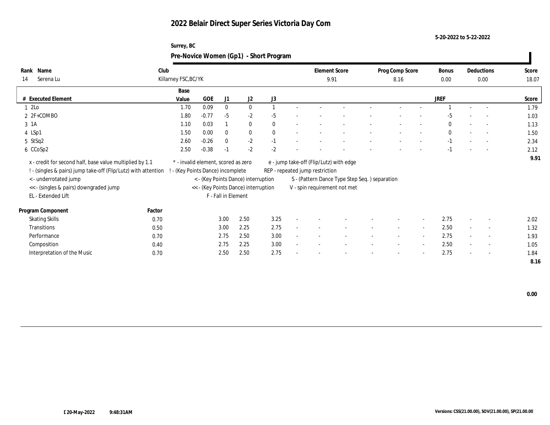**5-20-2022 to 5-22-2022**

| Surrey, BC                             |
|----------------------------------------|
| Pre-Novice Women (Gp1) - Short Program |

| Name<br>Rank<br>Serena Lu<br>14                                                                                            | Club   | Killarney FSC, BC/YK                                                   |         |                     |                                      |          |        | 9.91                            | <b>Element Score</b>                          | Prog Comp Score<br>8.16  |                          | Bonus<br>0.00 |                          | Deductions<br>0.00       | Score<br>18.07 |
|----------------------------------------------------------------------------------------------------------------------------|--------|------------------------------------------------------------------------|---------|---------------------|--------------------------------------|----------|--------|---------------------------------|-----------------------------------------------|--------------------------|--------------------------|---------------|--------------------------|--------------------------|----------------|
|                                                                                                                            |        | Base                                                                   |         |                     |                                      |          |        |                                 |                                               |                          |                          |               |                          |                          |                |
| # Executed Element                                                                                                         |        | Value                                                                  | GOE     | J1                  | J2                                   | J3       |        |                                 |                                               |                          |                          | <b>JREF</b>   |                          |                          | Score          |
| 1 2Lo                                                                                                                      |        | 1.70                                                                   | 0.09    | $\mathbf{0}$        | $\bf{0}$                             |          |        |                                 |                                               |                          |                          |               |                          |                          | 1.79           |
| $2 F + COMBO$                                                                                                              |        | 1.80                                                                   | $-0.77$ | $-5$                | $-2$                                 | $-5$     |        |                                 |                                               |                          |                          | $-5$          |                          |                          | 1.03           |
| 3 1A                                                                                                                       |        | 1.10                                                                   | 0.03    |                     | $\bf{0}$                             | $\theta$ |        |                                 |                                               |                          |                          | $\bf{0}$      | $\overline{\phantom{a}}$ | $\overline{\phantom{a}}$ | 1.13           |
| 4 LSp1                                                                                                                     |        | 1.50                                                                   | 0.00    | $\mathbf{0}$        | $\bf{0}$                             | $\theta$ |        |                                 |                                               |                          | $\overline{\phantom{a}}$ | $\mathbf{0}$  | $\sim$                   |                          | 1.50           |
| 5 StSq2                                                                                                                    |        | 2.60                                                                   | $-0.26$ | $\mathbf{0}$        | $-2$                                 | $-1$     |        |                                 |                                               |                          |                          | $-1$          |                          |                          | 2.34           |
| 6 CCoSp2                                                                                                                   |        | 2.50                                                                   | $-0.38$ | $-1$                | $-2$                                 | $-2$     |        |                                 |                                               |                          |                          | $-1$          |                          | $\overline{\phantom{a}}$ | 2.12           |
| x - credit for second half, base value multiplied by 1.1<br>! - (singles & pairs) jump take-off (Flip/Lutz) with attention |        | * - invalid element, scored as zero<br>- (Key Points Dance) incomplete |         |                     |                                      |          |        | REP - repeated jump restriction | e - jump take-off (Flip/Lutz) with edge       |                          |                          |               |                          |                          | 9.91           |
| < - underrotated jump                                                                                                      |        |                                                                        |         |                     | < - (Key Points Dance) interruption  |          |        |                                 | S - (Pattern Dance Type Step Seq.) separation |                          |                          |               |                          |                          |                |
| << - (singles & pairs) downgraded jump                                                                                     |        |                                                                        |         |                     | << - (Key Points Dance) interruption |          |        |                                 | V - spin requirement not met                  |                          |                          |               |                          |                          |                |
| EL - Extended Lift                                                                                                         |        |                                                                        |         | F - Fall in Element |                                      |          |        |                                 |                                               |                          |                          |               |                          |                          |                |
| Program Component                                                                                                          | Factor |                                                                        |         |                     |                                      |          |        |                                 |                                               |                          |                          |               |                          |                          |                |
| <b>Skating Skills</b>                                                                                                      | 0.70   |                                                                        |         | 3.00                | 2.50                                 | 3.25     |        |                                 |                                               |                          | $\sim$                   | 2.75          | $\overline{a}$           | $\overline{\phantom{a}}$ | 2.02           |
| Transitions                                                                                                                | 0.50   |                                                                        |         | 3.00                | 2.25                                 | 2.75     |        |                                 |                                               |                          | $\sim$                   | 2.50          |                          | $\overline{\phantom{a}}$ | 1.32           |
| Performance                                                                                                                | 0.70   |                                                                        |         | 2.75                | 2.50                                 | 3.00     | $\sim$ |                                 |                                               | $\overline{\phantom{a}}$ | $\sim$                   | 2.75          | $\sim$                   | $\sim$                   | 1.93           |
| Composition                                                                                                                | 0.40   |                                                                        |         | 2.75                | 2.25                                 | 3.00     |        |                                 |                                               |                          | $\sim$                   | 2.50          | $\sim$                   | $\sim$                   | 1.05           |
| Interpretation of the Music                                                                                                | 0.70   |                                                                        |         | 2.50                | 2.50                                 | 2.75     |        |                                 |                                               |                          | $\sim$                   | 2.75          | $\sim$                   | $\sim$                   | 1.84           |
|                                                                                                                            |        |                                                                        |         |                     |                                      |          |        |                                 |                                               |                          |                          |               |                          |                          | 8.16           |

 **0.00**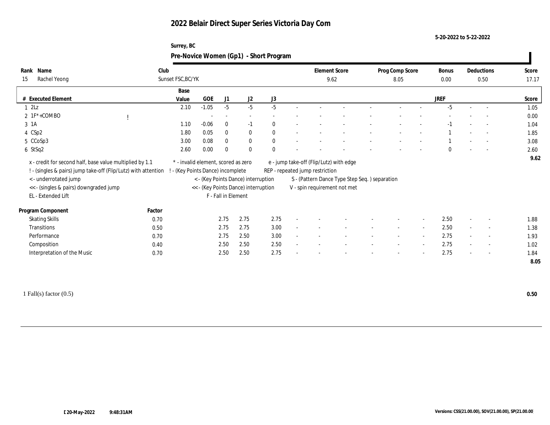**5-20-2022 to 5-22-2022**

|              | Surrey, BC                             |                      |                 |       |            |       |
|--------------|----------------------------------------|----------------------|-----------------|-------|------------|-------|
|              | Pre-Novice Women (Gp1) - Short Program |                      |                 |       |            |       |
| Name         | Club                                   | <b>Element Score</b> | Prog Comp Score | Bonus | Deductions | Score |
| Rachel Yeong | Sunset FSC, BC/YK                      | 9.62                 | 8.05            | 0.00  | 0.50       | 17.17 |

| Sunset FSC, BC/YK<br>Rachel Yeong<br>15<br>9.62<br>8.05<br>0.00<br>0.50<br>Base<br><b>JREF</b><br># Executed Element<br><b>GOE</b><br>J2<br>J1<br>J3<br>Value<br>$-1.05$<br>$-5$<br>$-5$<br>$1 \t2Lz$<br>$-5$<br>$-5$<br>2.10<br>$2 \text{ IF*+COMBO}$<br>$\sim$<br>$\overline{\phantom{a}}$<br>$\bf{0}$<br>3 1A<br>$-0.06$<br>$-1$<br>1.10<br>$\theta$<br>$-1$<br>$\overline{\phantom{a}}$<br>4 CSp2<br>0.05<br>$\bf{0}$<br>$\bf{0}$<br>1.80<br>$\bf{0}$<br>$\overline{\phantom{a}}$<br>$\bf{0}$<br>$\theta$<br>5 CCoSp3<br>3.00<br>0.08<br>$\bf{0}$<br>$\sim$<br>$\mathbf{0}$<br>$\Omega$<br>2.60<br>0.00<br>6 StSq2<br>$\Omega$<br>$\Omega$<br>$\overline{\phantom{a}}$<br>x - credit for second half, base value multiplied by 1.1<br>e - jump take-off (Flip/Lutz) with edge<br>* - invalid element, scored as zero<br>! - (singles & pairs) jump take-off (Flip/Lutz) with attention<br>- (Key Points Dance) incomplete<br>REP - repeated jump restriction<br>< - underrotated jump<br>< - (Key Points Dance) interruption<br>S - (Pattern Dance Type Step Seq.) separation<br><< - (Key Points Dance) interruption<br><< - (singles & pairs) downgraded jump<br>V - spin requirement not met<br>EL - Extended Lift<br>F - Fall in Element<br>Program Component<br>Factor<br>2.75<br>2.50<br>2.75<br><b>Skating Skills</b><br>2.75<br>0.70<br>$\sim$<br>$\sim$<br>$\overline{\phantom{a}}$<br>2.75<br>3.00<br>2.50<br>Transitions<br>2.75<br>0.50<br>$\sim$<br>$\overline{\phantom{a}}$<br>$\sim$<br>$\overline{\phantom{a}}$<br>2.75<br>2.50<br>3.00<br>Performance<br>2.75<br>0.70<br>$\overline{\phantom{a}}$<br>$\overline{\phantom{a}}$ |  |  |  |  |  |  |  |  |              |
|----------------------------------------------------------------------------------------------------------------------------------------------------------------------------------------------------------------------------------------------------------------------------------------------------------------------------------------------------------------------------------------------------------------------------------------------------------------------------------------------------------------------------------------------------------------------------------------------------------------------------------------------------------------------------------------------------------------------------------------------------------------------------------------------------------------------------------------------------------------------------------------------------------------------------------------------------------------------------------------------------------------------------------------------------------------------------------------------------------------------------------------------------------------------------------------------------------------------------------------------------------------------------------------------------------------------------------------------------------------------------------------------------------------------------------------------------------------------------------------------------------------------------------------------------------------------------------------------------------------------------------------------------|--|--|--|--|--|--|--|--|--------------|
|                                                                                                                                                                                                                                                                                                                                                                                                                                                                                                                                                                                                                                                                                                                                                                                                                                                                                                                                                                                                                                                                                                                                                                                                                                                                                                                                                                                                                                                                                                                                                                                                                                                    |  |  |  |  |  |  |  |  | 17.17        |
|                                                                                                                                                                                                                                                                                                                                                                                                                                                                                                                                                                                                                                                                                                                                                                                                                                                                                                                                                                                                                                                                                                                                                                                                                                                                                                                                                                                                                                                                                                                                                                                                                                                    |  |  |  |  |  |  |  |  |              |
|                                                                                                                                                                                                                                                                                                                                                                                                                                                                                                                                                                                                                                                                                                                                                                                                                                                                                                                                                                                                                                                                                                                                                                                                                                                                                                                                                                                                                                                                                                                                                                                                                                                    |  |  |  |  |  |  |  |  | Score        |
|                                                                                                                                                                                                                                                                                                                                                                                                                                                                                                                                                                                                                                                                                                                                                                                                                                                                                                                                                                                                                                                                                                                                                                                                                                                                                                                                                                                                                                                                                                                                                                                                                                                    |  |  |  |  |  |  |  |  | 1.05         |
|                                                                                                                                                                                                                                                                                                                                                                                                                                                                                                                                                                                                                                                                                                                                                                                                                                                                                                                                                                                                                                                                                                                                                                                                                                                                                                                                                                                                                                                                                                                                                                                                                                                    |  |  |  |  |  |  |  |  | 0.00         |
|                                                                                                                                                                                                                                                                                                                                                                                                                                                                                                                                                                                                                                                                                                                                                                                                                                                                                                                                                                                                                                                                                                                                                                                                                                                                                                                                                                                                                                                                                                                                                                                                                                                    |  |  |  |  |  |  |  |  | 1.04         |
|                                                                                                                                                                                                                                                                                                                                                                                                                                                                                                                                                                                                                                                                                                                                                                                                                                                                                                                                                                                                                                                                                                                                                                                                                                                                                                                                                                                                                                                                                                                                                                                                                                                    |  |  |  |  |  |  |  |  | 1.85         |
|                                                                                                                                                                                                                                                                                                                                                                                                                                                                                                                                                                                                                                                                                                                                                                                                                                                                                                                                                                                                                                                                                                                                                                                                                                                                                                                                                                                                                                                                                                                                                                                                                                                    |  |  |  |  |  |  |  |  | 3.08         |
|                                                                                                                                                                                                                                                                                                                                                                                                                                                                                                                                                                                                                                                                                                                                                                                                                                                                                                                                                                                                                                                                                                                                                                                                                                                                                                                                                                                                                                                                                                                                                                                                                                                    |  |  |  |  |  |  |  |  | 2.60         |
|                                                                                                                                                                                                                                                                                                                                                                                                                                                                                                                                                                                                                                                                                                                                                                                                                                                                                                                                                                                                                                                                                                                                                                                                                                                                                                                                                                                                                                                                                                                                                                                                                                                    |  |  |  |  |  |  |  |  | 9.62         |
|                                                                                                                                                                                                                                                                                                                                                                                                                                                                                                                                                                                                                                                                                                                                                                                                                                                                                                                                                                                                                                                                                                                                                                                                                                                                                                                                                                                                                                                                                                                                                                                                                                                    |  |  |  |  |  |  |  |  |              |
|                                                                                                                                                                                                                                                                                                                                                                                                                                                                                                                                                                                                                                                                                                                                                                                                                                                                                                                                                                                                                                                                                                                                                                                                                                                                                                                                                                                                                                                                                                                                                                                                                                                    |  |  |  |  |  |  |  |  | 1.88         |
|                                                                                                                                                                                                                                                                                                                                                                                                                                                                                                                                                                                                                                                                                                                                                                                                                                                                                                                                                                                                                                                                                                                                                                                                                                                                                                                                                                                                                                                                                                                                                                                                                                                    |  |  |  |  |  |  |  |  | 1.38         |
|                                                                                                                                                                                                                                                                                                                                                                                                                                                                                                                                                                                                                                                                                                                                                                                                                                                                                                                                                                                                                                                                                                                                                                                                                                                                                                                                                                                                                                                                                                                                                                                                                                                    |  |  |  |  |  |  |  |  | 1.93         |
| 2.50<br>2.50<br>2.75<br>2.50<br>Composition<br>0.40<br>$\sim$<br>$\sim$<br>$\overline{\phantom{a}}$<br>$\sim$                                                                                                                                                                                                                                                                                                                                                                                                                                                                                                                                                                                                                                                                                                                                                                                                                                                                                                                                                                                                                                                                                                                                                                                                                                                                                                                                                                                                                                                                                                                                      |  |  |  |  |  |  |  |  | 1.02         |
| 2.75<br>Interpretation of the Music<br>2.50<br>2.75<br>2.50<br>0.70<br>$\overline{\phantom{a}}$                                                                                                                                                                                                                                                                                                                                                                                                                                                                                                                                                                                                                                                                                                                                                                                                                                                                                                                                                                                                                                                                                                                                                                                                                                                                                                                                                                                                                                                                                                                                                    |  |  |  |  |  |  |  |  | 1.84<br>8.05 |

1 Fall(s) factor (0.5) **0.50**

**Rank**